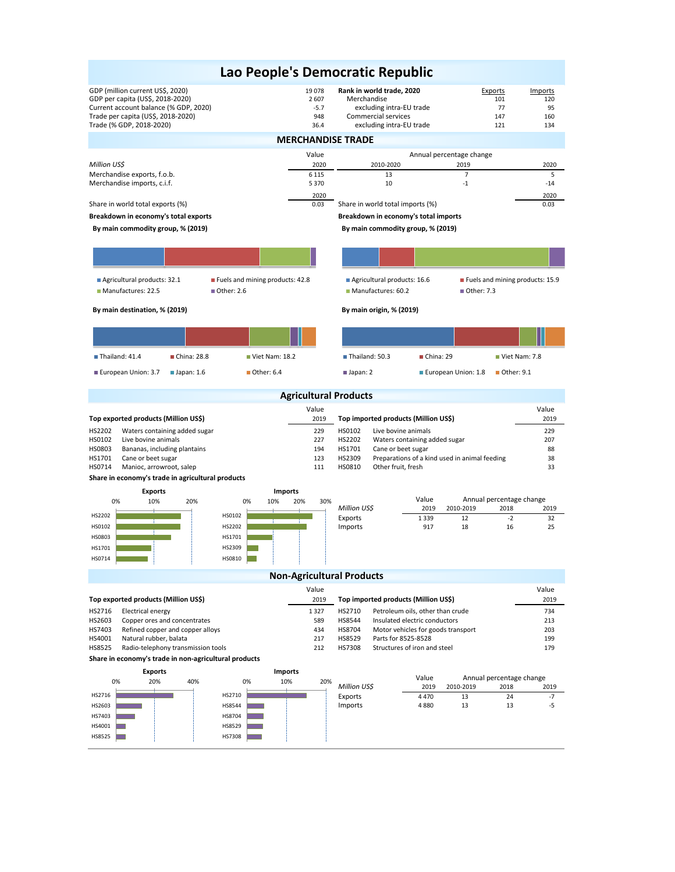## GDP (million current US\$, 2020)<br>
GDP per capita (US\$, 2018-2020)<br>
2607 Merchandise 101 1901 120 GDP per capita (US\$, 2018-2020) <br>Current account balance (% GDP, 2020) 2 607 101 120 2557 excluding intra-EU trade 101 120 120 Current account balance (% GDP, 2020) -5.7 excluding intra-EU trade 77 95 Trade per capita (US\$, 2018-2020) <br>
Trade (% GDP, 2018-2020) 134 Commercial services 147 160<br>
36.4 excluding intra-EU trade 121 121 134 Trade (% GDP, 2018-2020) Value *Million US\$* 2020 6 115 5 370 2020 2020 0.03 Share in world total imports (%) 0.03 0.03 **Breakdown in economy's total exports Breakdown in economy's total imports** Value Value **Top exported products (Million US\$)** 2019 **10 2019 . Top imported products (Million US\$)** 2019<br>
HS2202 Waters containing added sugar 229 . 229 . 229 . HS0102 Live bovine animals Waters containing added sugar and the containing added sugar and the containing added sugar and the containing added sugar and the containing added sugar and the containing added sugar and the containing added sugar and th HS0102 Live bovine animals 227 HS2202 Waters containing added sugar 207 HS0803 Bananas, including plantains 194 HS1701 Cane or beet sugar 88 HS1701 Cane or beet sugar 123 HS2309 Preparations of a kind used in animal feeding 38 HS0714 Manioc, arrowroot, salep 13 **Share in economy's trade in agricultural products** Value<br>2019 *Million US\$* 2019 2010-2019 2018 2019 Exports 1 339 12 -2 32 Imports 5 917 18 16 25 Value Value **Top exported products (Million US\$)** 2019 **Top imported products (Million US\$)** 2019 HS2716 Electrical energy 1347 HS2710 Petroleum oils, other than crude 734<br>HS2603 Copper ores and concentrates 1343 HS8544 Insulated electric conductors 213 HS2603 Copper ores and concentrates examples 589 HS8544 Insulated electric conductors and concentrates examples the state of the state of the state of the state of the state of the state of the state of the state of the st Refined copper and copper alloys and the state of the top and the 434 HS8704 Motor vehicles for goods transport 203 HS4001 Natural rubber, balata 199<br>199 199 112 HS7308 HS8529 Parts for 8525-8528 199 199 HS7308 HS7308 199 179 HS7308 Structures of iron and steel Radio-telephony transmission tools **Share in economy's trade in non-agricultural products** Value *Million US\$* 2019 2010-2019 2018 2019 Exports 4 470 13 24 -7 1 Imports 4 880 13 13 -5  **By main commodity group, % (2019) By main destination, % (2019) By main origin, % (2019)** Annual percentage change Annual percentage change **Lao People's Democratic Republic MERCHANDISE TRADE Agricultural Products Non-Agricultural Products** Merchandise exports, f.o.b. 13 7 5 Merchandise imports, c.i.f. Annual percentage change 2010-2020 2019 2020  $10$  -1  $-1$  **By main commodity group, % (2019)** Share in world total exports (%) 0% 20% 40% HS2716 HS2603 HS7403 **Exports** 0% 10% 20% HS2710 HS8544 HS8704 **Imports** 0% 10% 20% 30% HS0102 HS2202 HS1701 HS2309 HS0810 **Imports** 0% 10% 20% HS2202 HS0102 HS0803 HS1701 HS0714 **Exports** Agricultural products: 32.1 Fuels and mining products: 42.8 Manufactures: 22.5 **Detects** Other: 2.6 Agricultural products: 16.6 Fuels and mining products: 15.9 Manufactures: 60.2 Dether: 7.3  $\blacksquare$  Thailand: 41.4  $\blacksquare$  China: 28.8  $\blacksquare$  Viet Nam: 18.2 European Union: 3.7 Japan: 1.6 July 2.64 ■ Thailand: 50.3 B China: 29 B Viet Nam: 7.8 Japan: 2 **European Union: 1.8 Detect** 9.1

HS4001 HS8525

٦

HS8529 HS7308